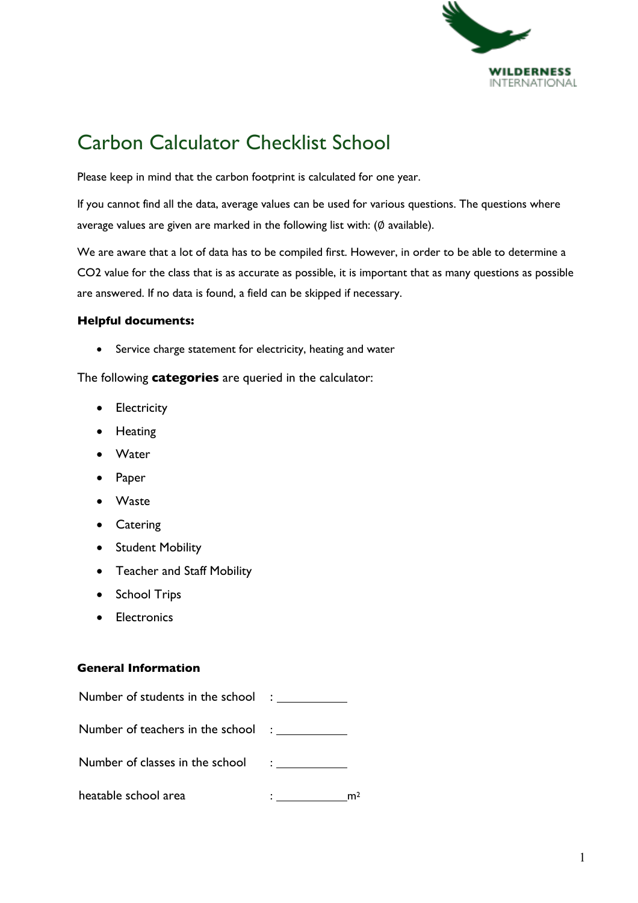

# Carbon Calculator Checklist School

Please keep in mind that the carbon footprint is calculated for one year.

If you cannot find all the data, average values can be used for various questions. The questions where average values are given are marked in the following list with: (∅ available).

We are aware that a lot of data has to be compiled first. However, in order to be able to determine a CO2 value for the class that is as accurate as possible, it is important that as many questions as possible are answered. If no data is found, a field can be skipped if necessary.

## **Helpful documents:**

• Service charge statement for electricity, heating and water

The following **categories** are queried in the calculator:

- Electricity
- Heating
- **Water**
- **Paper**
- Waste
- Catering
- Student Mobility
- Teacher and Staff Mobility
- School Trips
- **Flectronics**

#### **General Information**

| Number of students in the school :      |  |
|-----------------------------------------|--|
| Number of teachers in the school : ____ |  |
| Number of classes in the school :       |  |
| heatable school area                    |  |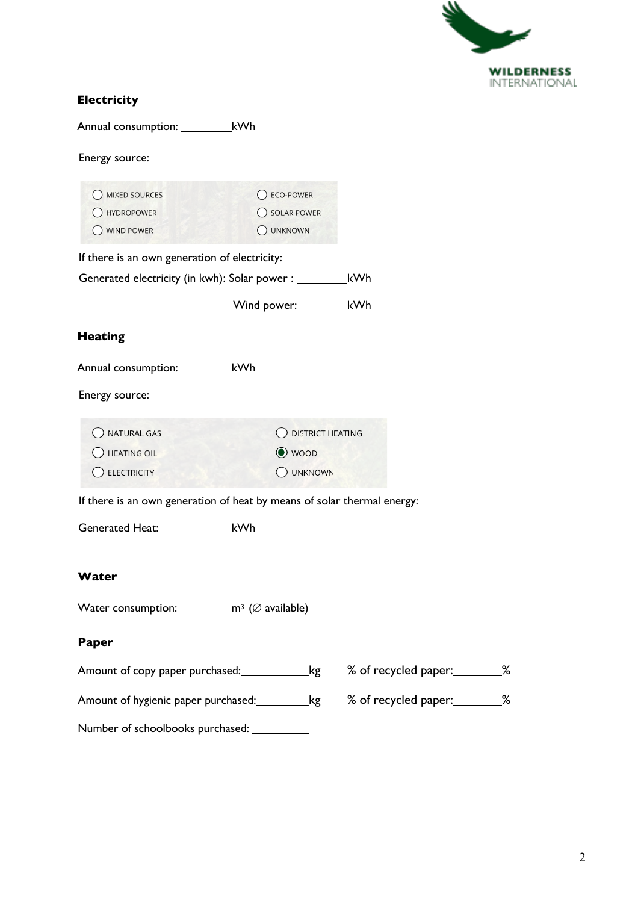

## **Electricity**

Annual consumption: \_\_\_\_\_\_\_\_\_\_\_\_kWh

Energy source:

| O MIXED SOURCES                                                         | C ECO-POWER                 |                    |                                |  |  |
|-------------------------------------------------------------------------|-----------------------------|--------------------|--------------------------------|--|--|
| () HYDROPOWER                                                           | ◯ SOLAR POWER               |                    |                                |  |  |
| () WIND POWER                                                           | O UNKNOWN                   |                    |                                |  |  |
|                                                                         |                             |                    |                                |  |  |
| If there is an own generation of electricity:                           |                             |                    |                                |  |  |
|                                                                         |                             |                    |                                |  |  |
|                                                                         |                             |                    |                                |  |  |
|                                                                         | Wind power: ____________kWh |                    |                                |  |  |
| <b>Heating</b>                                                          |                             |                    |                                |  |  |
| Annual consumption: ____________kWh                                     |                             |                    |                                |  |  |
|                                                                         |                             |                    |                                |  |  |
| Energy source:                                                          |                             |                    |                                |  |  |
|                                                                         |                             |                    |                                |  |  |
| O NATURAL GAS                                                           |                             | O DISTRICT HEATING |                                |  |  |
| O HEATING OIL                                                           | <b>●</b> woop               |                    |                                |  |  |
|                                                                         |                             |                    |                                |  |  |
| C ELECTRICITY                                                           |                             | O UNKNOWN          |                                |  |  |
| If there is an own generation of heat by means of solar thermal energy: |                             |                    |                                |  |  |
|                                                                         |                             |                    |                                |  |  |
| Generated Heat: ___________________kWh                                  |                             |                    |                                |  |  |
|                                                                         |                             |                    |                                |  |  |
|                                                                         |                             |                    |                                |  |  |
| Water                                                                   |                             |                    |                                |  |  |
|                                                                         |                             |                    |                                |  |  |
|                                                                         |                             |                    |                                |  |  |
|                                                                         |                             |                    |                                |  |  |
| Paper                                                                   |                             |                    |                                |  |  |
| Amount of copy paper purchased: __________________kg                    |                             |                    | % of recycled paper: ________% |  |  |
|                                                                         |                             |                    |                                |  |  |
|                                                                         |                             |                    | % of recycled paper: ________% |  |  |
|                                                                         |                             |                    |                                |  |  |
|                                                                         |                             |                    |                                |  |  |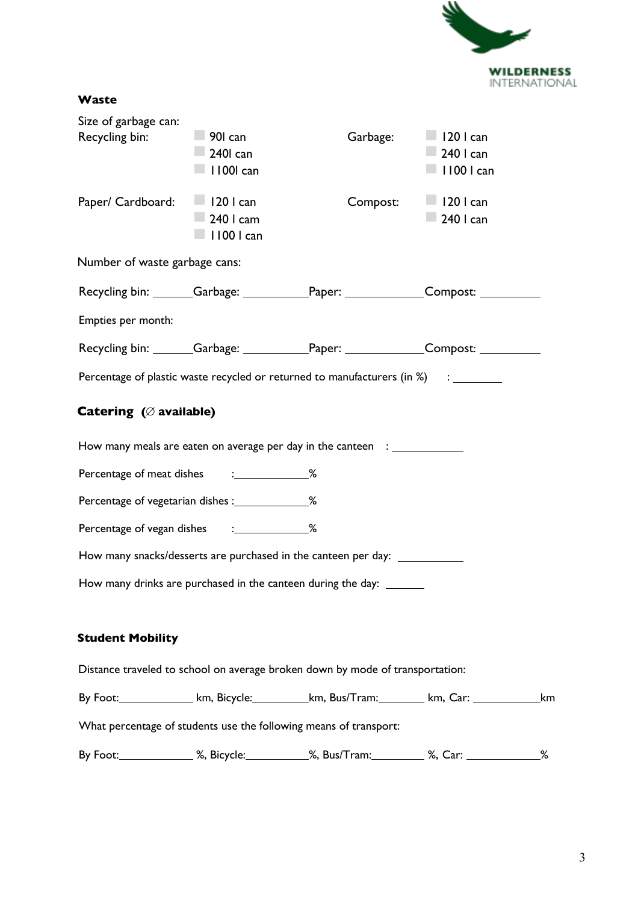

| Size of garbage can:                              |                       |                                                                                                     |                   |    |
|---------------------------------------------------|-----------------------|-----------------------------------------------------------------------------------------------------|-------------------|----|
| Recycling bin:                                    | $\Box$ 901 can        | Garbage:                                                                                            | $\Box$ 120 l can  |    |
|                                                   | $\Box$ 240 $\Box$ can |                                                                                                     | 240 I can         |    |
|                                                   | I 1001 can            |                                                                                                     | $\Box$ 1100 l can |    |
| Paper/ Cardboard:                                 | $\Box$ 120 l can      | Compost:                                                                                            | $\Box$ 120 l can  |    |
|                                                   | $-240$ I cam          |                                                                                                     | $-240$ I can      |    |
|                                                   | 1100   can            |                                                                                                     |                   |    |
| Number of waste garbage cans:                     |                       |                                                                                                     |                   |    |
|                                                   |                       | Recycling bin: _______Garbage: ____________Paper: ______________Compost: ________                   |                   |    |
| Empties per month:                                |                       |                                                                                                     |                   |    |
|                                                   |                       | Recycling bin: _______Garbage: _____________Paper: ______________Compost: ___________               |                   |    |
|                                                   |                       | Percentage of plastic waste recycled or returned to manufacturers (in %) : ______                   |                   |    |
| Catering $(\emptyset$ available)                  |                       |                                                                                                     |                   |    |
|                                                   |                       | How many meals are eaten on average per day in the canteen : _____________                          |                   |    |
| Percentage of meat dishes : ______________%       |                       |                                                                                                     |                   |    |
| Percentage of vegetarian dishes : ______________% |                       |                                                                                                     |                   |    |
| Percentage of vegan dishes : ______________%      |                       |                                                                                                     |                   |    |
|                                                   |                       | How many snacks/desserts are purchased in the canteen per day:                                      |                   |    |
|                                                   |                       | How many drinks are purchased in the canteen during the day: _______                                |                   |    |
| <b>Student Mobility</b>                           |                       |                                                                                                     |                   |    |
|                                                   |                       | Distance traveled to school on average broken down by mode of transportation:                       |                   |    |
|                                                   |                       | By Foot: _______________ km, Bicycle: ___________km, Bus/Tram: _________ km, Car: _________________ |                   | km |
|                                                   |                       | What percentage of students use the following means of transport:                                   |                   |    |
|                                                   |                       | By Foot: ______________ %, Bicycle: ___________%, Bus/Tram: _________ %, Car: _____________________ |                   | %  |